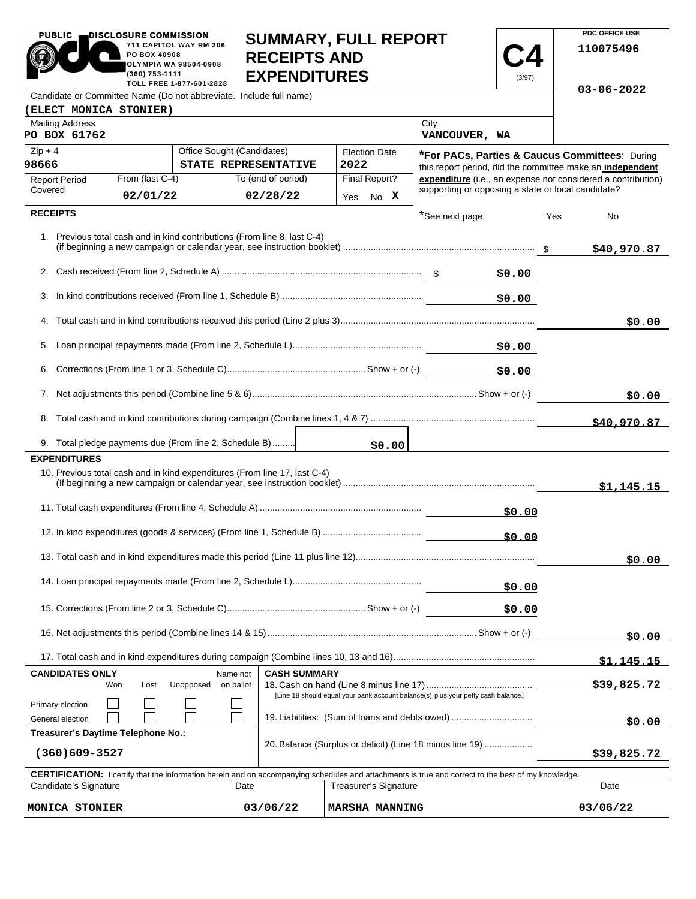| <b>PUBLIC</b>                                                                                                                                                                                                        | DISCLOSURE COMMISSION          |                                                                           |                                                                                   | <b>SUMMARY, FULL REPORT</b> |                       |                  | PDC OFFICE USE                                                                                                     |            |
|----------------------------------------------------------------------------------------------------------------------------------------------------------------------------------------------------------------------|--------------------------------|---------------------------------------------------------------------------|-----------------------------------------------------------------------------------|-----------------------------|-----------------------|------------------|--------------------------------------------------------------------------------------------------------------------|------------|
|                                                                                                                                                                                                                      | PO BOX 40908<br>(360) 753-1111 | 711 CAPITOL WAY RM 206<br><b>OLYMPIA WA 98504-0908</b>                    | <b>RECEIPTS AND</b>                                                               |                             |                       |                  | 110075496                                                                                                          |            |
| <b>EXPENDITURES</b><br>(3/97)<br>TOLL FREE 1-877-601-2828<br>Candidate or Committee Name (Do not abbreviate. Include full name)                                                                                      |                                |                                                                           |                                                                                   |                             |                       | $03 - 06 - 2022$ |                                                                                                                    |            |
| (ELECT MONICA STONIER)                                                                                                                                                                                               |                                |                                                                           |                                                                                   |                             |                       |                  |                                                                                                                    |            |
| <b>Mailing Address</b><br>PO BOX 61762                                                                                                                                                                               |                                |                                                                           |                                                                                   |                             | City<br>VANCOUVER, WA |                  |                                                                                                                    |            |
| $Zip + 4$                                                                                                                                                                                                            |                                | Office Sought (Candidates)                                                |                                                                                   | <b>Election Date</b>        |                       |                  | <b>*For PACs, Parties &amp; Caucus Committees: During</b>                                                          |            |
| 98666                                                                                                                                                                                                                |                                | STATE REPRESENTATIVE                                                      |                                                                                   | 2022                        |                       |                  | this report period, did the committee make an independent                                                          |            |
| <b>Report Period</b><br>Covered                                                                                                                                                                                      | From (last C-4)                |                                                                           | To (end of period)                                                                | Final Report?               |                       |                  | expenditure (i.e., an expense not considered a contribution)<br>supporting or opposing a state or local candidate? |            |
|                                                                                                                                                                                                                      | 02/01/22                       |                                                                           | 02/28/22                                                                          | No X<br>Yes                 |                       |                  |                                                                                                                    |            |
| <b>RECEIPTS</b>                                                                                                                                                                                                      |                                |                                                                           |                                                                                   |                             | *See next page        |                  | Yes<br>No                                                                                                          |            |
|                                                                                                                                                                                                                      |                                | 1. Previous total cash and in kind contributions (From line 8, last C-4)  |                                                                                   |                             |                       |                  | \$40,970.87                                                                                                        |            |
|                                                                                                                                                                                                                      |                                |                                                                           |                                                                                   |                             |                       | \$0.00           |                                                                                                                    |            |
|                                                                                                                                                                                                                      |                                |                                                                           |                                                                                   |                             |                       | \$0.00           |                                                                                                                    |            |
|                                                                                                                                                                                                                      |                                |                                                                           |                                                                                   |                             |                       |                  |                                                                                                                    | \$0.00     |
|                                                                                                                                                                                                                      |                                |                                                                           |                                                                                   |                             |                       | \$0.00           |                                                                                                                    |            |
|                                                                                                                                                                                                                      |                                |                                                                           |                                                                                   |                             |                       | \$0.00           |                                                                                                                    |            |
|                                                                                                                                                                                                                      |                                |                                                                           |                                                                                   |                             |                       |                  | \$0.00                                                                                                             |            |
|                                                                                                                                                                                                                      |                                |                                                                           |                                                                                   |                             |                       |                  | \$40,970.87                                                                                                        |            |
|                                                                                                                                                                                                                      |                                | 9. Total pledge payments due (From line 2, Schedule B)                    |                                                                                   | \$0.00                      |                       |                  |                                                                                                                    |            |
| <b>EXPENDITURES</b>                                                                                                                                                                                                  |                                |                                                                           |                                                                                   |                             |                       |                  |                                                                                                                    |            |
|                                                                                                                                                                                                                      |                                | 10. Previous total cash and in kind expenditures (From line 17, last C-4) |                                                                                   |                             |                       |                  |                                                                                                                    | \$1,145.15 |
|                                                                                                                                                                                                                      |                                |                                                                           |                                                                                   |                             |                       | \$0.00           |                                                                                                                    |            |
|                                                                                                                                                                                                                      |                                |                                                                           |                                                                                   |                             |                       | \$0.00           |                                                                                                                    |            |
|                                                                                                                                                                                                                      |                                |                                                                           |                                                                                   |                             |                       |                  |                                                                                                                    | \$0.00     |
|                                                                                                                                                                                                                      |                                |                                                                           |                                                                                   |                             |                       | \$0.00           |                                                                                                                    |            |
|                                                                                                                                                                                                                      |                                |                                                                           |                                                                                   |                             |                       | \$0.00           |                                                                                                                    |            |
|                                                                                                                                                                                                                      |                                |                                                                           |                                                                                   |                             |                       |                  | \$0.00                                                                                                             |            |
|                                                                                                                                                                                                                      |                                |                                                                           |                                                                                   |                             |                       |                  |                                                                                                                    | \$1,145.15 |
| <b>CANDIDATES ONLY</b>                                                                                                                                                                                               |                                | Name not                                                                  | <b>CASH SUMMARY</b>                                                               |                             |                       |                  |                                                                                                                    |            |
| Primary election                                                                                                                                                                                                     | Won<br>Lost                    | Unopposed<br>on ballot                                                    | [Line 18 should equal your bank account balance(s) plus your petty cash balance.] | \$39,825.72                 |                       |                  |                                                                                                                    |            |
| General election                                                                                                                                                                                                     |                                |                                                                           | 19. Liabilities: (Sum of loans and debts owed)                                    |                             |                       |                  |                                                                                                                    | \$0.00     |
| Treasurer's Daytime Telephone No.:                                                                                                                                                                                   |                                |                                                                           |                                                                                   |                             |                       |                  |                                                                                                                    |            |
| 20. Balance (Surplus or deficit) (Line 18 minus line 19)<br>$(360)609 - 3527$                                                                                                                                        |                                |                                                                           |                                                                                   |                             | \$39,825.72           |                  |                                                                                                                    |            |
| <b>CERTIFICATION:</b> I certify that the information herein and on accompanying schedules and attachments is true and correct to the best of my knowledge.<br>Candidate's Signature<br>Treasurer's Signature<br>Date |                                |                                                                           |                                                                                   |                             |                       | Date             |                                                                                                                    |            |
| 03/06/22<br>MONICA STONIER                                                                                                                                                                                           |                                |                                                                           |                                                                                   | <b>MARSHA MANNING</b>       | 03/06/22              |                  |                                                                                                                    |            |

**PDC OFFICE USE**